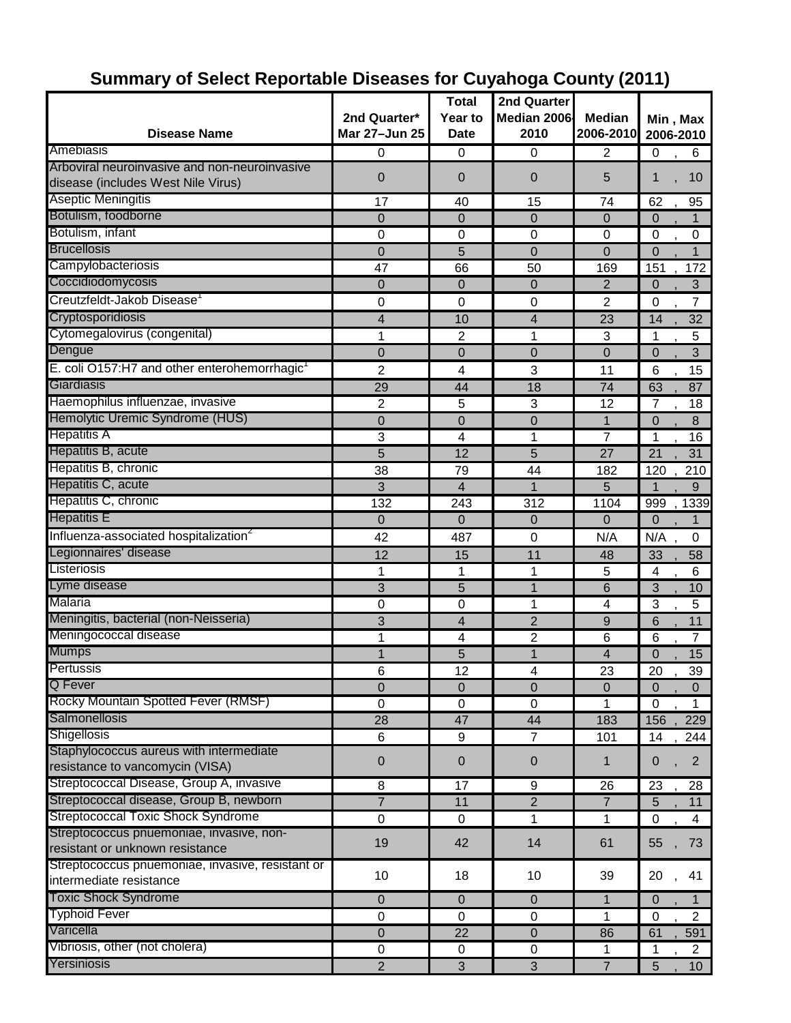| <b>Disease Name</b>                                                                 | 2nd Quarter*<br>Mar 27-Jun 25 | <b>Total</b><br>Year to<br><b>Date</b> | 2nd Quarter<br>Median 2006<br>2010 | <b>Median</b><br>2006-2010 | Min, Max<br>2006-2010      |
|-------------------------------------------------------------------------------------|-------------------------------|----------------------------------------|------------------------------------|----------------------------|----------------------------|
| Amebiasis                                                                           | 0                             | 0                                      | $\Omega$                           | $\overline{2}$             | $\mathbf 0$<br>6           |
| Arboviral neuroinvasive and non-neuroinvasive<br>disease (includes West Nile Virus) | $\mathbf 0$                   | $\mathbf 0$                            | $\mathbf 0$                        | 5                          | 10<br>1                    |
| <b>Aseptic Meningitis</b>                                                           | 17                            | 40                                     | 15                                 | 74                         | 62<br>95                   |
| Botulism, foodborne                                                                 | $\overline{0}$                | 0                                      | $\overline{0}$                     | $\Omega$                   | $\Omega$<br>$\mathbf{1}$   |
| Botulism, infant                                                                    | 0                             | $\Omega$                               | 0                                  | $\Omega$                   | $\mathbf 0$<br>$\pmb{0}$   |
| <b>Brucellosis</b>                                                                  | $\mathbf 0$                   | 5                                      | 0                                  | 0                          | 1<br>$\overline{0}$        |
| Campylobacteriosis                                                                  | 47                            | 66                                     | 50                                 | 169                        | 151<br>172                 |
| Coccidiodomycosis                                                                   | $\mathbf 0$                   | $\mathbf 0$                            | $\overline{0}$                     | $\overline{2}$             | 3<br>$\Omega$              |
| Creutzfeldt-Jakob Disease <sup>1</sup>                                              | 0                             | 0                                      | 0                                  | $\overline{2}$             | 7<br>$\Omega$              |
| Cryptosporidiosis                                                                   | 4                             | 10                                     | 4                                  | 23                         | 32<br>14                   |
| Cytomegalovirus (congenital)                                                        | 1                             | 2                                      | 1                                  | 3                          | 5<br>1                     |
| Dengue                                                                              | $\overline{0}$                | $\overline{0}$                         | $\Omega$                           | $\Omega$                   | $\overline{3}$<br>$\Omega$ |
| E. coli O157:H7 and other enterohemorrhagic <sup>1</sup>                            | 2                             | 4                                      | 3                                  | 11                         | 15<br>6                    |
| Giardiasis                                                                          | 29                            | 44                                     | 18                                 | 74                         | 63<br>87                   |
| Haemophilus influenzae, invasive                                                    | $\overline{2}$                | 5                                      | 3                                  | 12                         | $\overline{7}$<br>18       |
| Hemolytic Uremic Syndrome (HUS)                                                     | $\overline{0}$                | $\overline{0}$                         | $\overline{0}$                     | 1                          | $\overline{0}$<br>8        |
| <b>Hepatitis A</b>                                                                  | 3                             | 4                                      | 1                                  | $\overline{7}$             | 1<br>16                    |
| Hepatitis B, acute                                                                  | 5                             | 12                                     | 5                                  | 27                         | 21<br>31                   |
| Hepatitis B, chronic                                                                | 38                            | 79                                     | $\overline{44}$                    | 182                        | 120<br>210                 |
| Hepatitis C, acute                                                                  | 3                             | $\overline{4}$                         | $\mathbf{1}$                       | 5                          | $\overline{1}$<br>9        |
| Hepatitis C, chronic                                                                | 132                           | 243                                    | 312                                | 1104                       | 999<br>1339                |
| <b>Hepatitis E</b>                                                                  | $\overline{0}$                | $\Omega$                               | $\mathbf 0$                        | $\Omega$                   | $\Omega$<br>1              |
| Influenza-associated hospitalization <sup>2</sup>                                   | 42                            | 487                                    | $\mathbf 0$                        | N/A                        | N/A<br>0                   |
| Legionnaires' disease                                                               | 12                            | 15                                     | 11                                 | 48                         | 33<br>58                   |
| Listeriosis                                                                         | 1                             | 1                                      | 1                                  | 5                          | 6<br>$\overline{4}$        |
| Lyme disease                                                                        | 3                             | 5                                      | 1                                  | 6                          | 3<br>10                    |
| Malaria                                                                             | 0                             | 0                                      | 1                                  | 4                          | 3<br>5                     |
| Meningitis, bacterial (non-Neisseria)                                               | 3                             | 4                                      | $\overline{2}$                     | 9                          | 11<br>6                    |
| Meningococcal disease                                                               | 1                             | 4                                      | $\overline{2}$                     | 6                          | 6<br>$\overline{7}$        |

Mumps 5 1 4 0 , 15 Pertussis 6 12 4 23 20 , 39 Q Fever 0 0 0 0 0 , 0 Rocky Mountain Spotted Fever (RMSF)<br>
Salmonellosis<br>
28 47 44 183 156 229 Salmonellosis 28 47 44 183 156, 229 Shigellosis 6 9 7 101 14 , 244

resistance to vancomycin (VISA) 0 0 0 1 0 , 2 Streptococcal Disease, Group A, invasive **8** 17 17 9 26 23, 28 Streptococcal disease, Group B, newborn 17 11 2 7 5, 11 Streptococcal Toxic Shock Syndrome **0** 0 0 1 1 1 0 4

exispedeced britannique, invitance 19 19 42 14 61 55, 73

expressesses prisonerities, investig, respectively. The contract of the contract of the termediate resistance that the contract of the contract of the contract of the contract of the contract of the contract of the contrac

Toxic Shock Syndrome 0 0 0 1 0 , 1 Typhoid Fever 0 0 1 0 , 2 Varicella 0 22 0 86 61 , 591 Vibriosis, other (not cholera)<br>
Yersiniosis<br>
2 3 3 7 5 10 Yersiniosis 2 3 3 7 5 , 10

Staphylococcus aureus with intermediate

Streptococcus pnuemoniae, invasive, non-

Streptococcus pnuemoniae, invasive, resistant or

#### **Summary of Select Reportable Diseases for Cuyahoga County (2011)**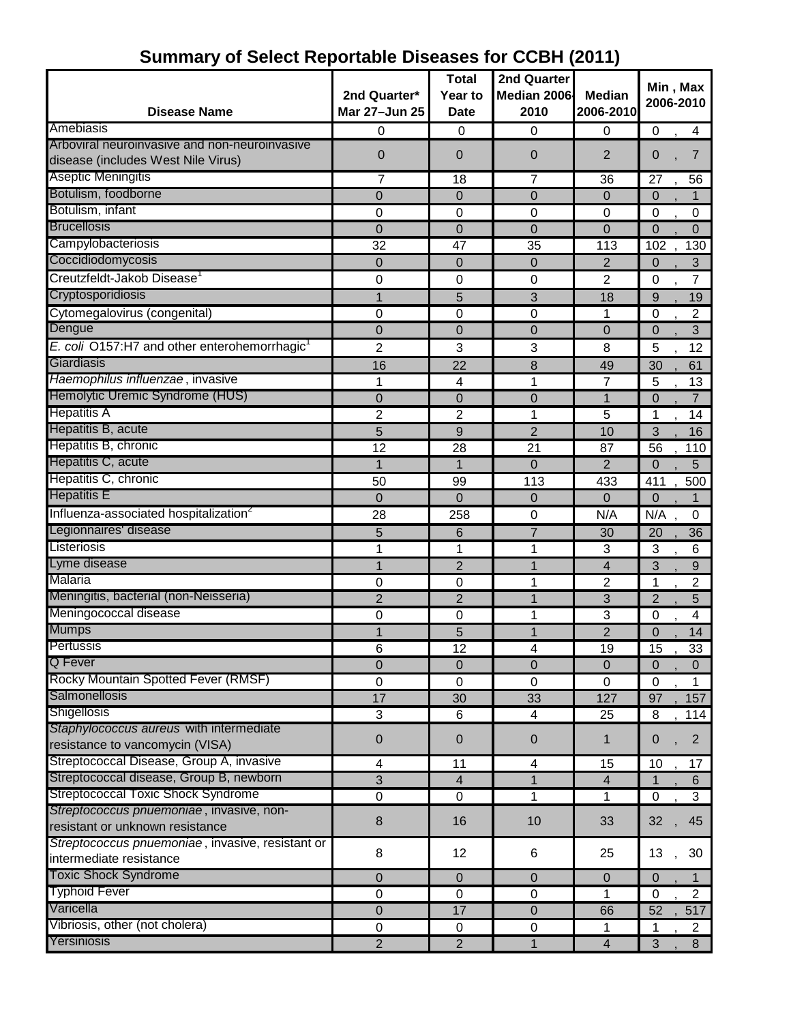|                                                          |                  | <b>Total</b>   | 2nd Quarter      |                         | Min, Max                         |
|----------------------------------------------------------|------------------|----------------|------------------|-------------------------|----------------------------------|
|                                                          | 2nd Quarter*     | Year to        | Median 2006      | <b>Median</b>           | 2006-2010                        |
| <b>Disease Name</b>                                      | Mar 27-Jun 25    | <b>Date</b>    | 2010             | 2006-2010               |                                  |
| Amebiasis                                                | 0                | $\mathbf 0$    | $\overline{0}$   | 0                       | $\mathbf 0$<br>4                 |
| Arboviral neuroinvasive and non-neuroinvasive            | $\mathbf 0$      | 0              | $\boldsymbol{0}$ | $\overline{2}$          | $\overline{7}$<br>0              |
| disease (includes West Nile Virus)                       |                  |                |                  |                         |                                  |
| <b>Aseptic Meningitis</b>                                | 7                | 18             | 7                | 36                      | 27<br>56                         |
| Botulism, foodborne                                      | $\mathbf 0$      | $\overline{0}$ | $\mathbf 0$      | $\mathbf{0}$            | $\mathbf 0$<br>1                 |
| Botulism, infant                                         | $\mathbf 0$      | $\mathbf 0$    | $\Omega$         | $\mathbf 0$             | $\mathbf 0$<br>$\pmb{0}$         |
| <b>Brucellosis</b>                                       | $\overline{0}$   | 0              | $\overline{0}$   | 0                       | $\overline{0}$<br>$\Omega$       |
| Campylobacteriosis                                       | $\overline{32}$  | 47             | 35               | 113                     | 102<br>130                       |
| Coccidiodomycosis                                        | $\overline{0}$   | $\overline{0}$ | $\overline{0}$   | $\overline{2}$          | $\mathbf 0$<br>3                 |
| Creutzfeldt-Jakob Disease                                | 0                | 0              | $\mathbf 0$      | $\overline{2}$          | 7<br>0                           |
| Cryptosporidiosis                                        | 1                | 5              | 3                | 18                      | 9<br>19                          |
| Cytomegalovirus (congenital)                             | 0                | $\mathbf 0$    | 0                | 1                       | 2<br>0                           |
| Dengue                                                   | 0                | 0              | $\overline{0}$   | 0                       | 3<br>0                           |
| E. coli O157:H7 and other enterohemorrhagic <sup>1</sup> | 2                | 3              | 3                | 8                       | 5<br>12                          |
| Giardiasis                                               | 16               | 22             | 8                | 49                      | $\overline{30}$<br>61            |
| Haemophilus influenzae, invasive                         | 1                | 4              | 1                | 7                       | 5<br>13                          |
| Hemolytic Uremic Syndrome (HUS)                          | $\mathbf 0$      | 0              | $\overline{0}$   | 1                       | $\overline{0}$<br>$\overline{7}$ |
| <b>Hepatitis A</b>                                       | $\overline{c}$   | 2              | 1                | 5                       | 14<br>1                          |
| Hepatitis B, acute                                       | 5                | 9              | $\overline{2}$   | 10                      | 3<br>16                          |
| Hepatitis B, chronic                                     | 12               | 28             | 21               | 87                      | 56<br>110                        |
| Hepatitis C, acute                                       | 1                | $\mathbf{1}$   | $\Omega$         | $\overline{2}$          | $\Omega$<br>5                    |
| Hepatitis C, chronic                                     | 50               | 99             | 113              | 433                     | 411<br>500                       |
| <b>Hepatitis E</b>                                       | $\overline{0}$   | 0              | $\mathbf 0$      | 0                       | 0<br>1                           |
| Influenza-associated hospitalization <sup>2</sup>        | 28               | 258            | $\boldsymbol{0}$ | N/A                     | N/A<br>0                         |
| Legionnaires' disease                                    | 5                | 6              | $\overline{7}$   | 30                      | 20<br>36                         |
| Listeriosis                                              | 1                | 1              | 1                | 3                       | 3<br>6                           |
| Lyme disease                                             | 1                | $\overline{2}$ | 1                | $\overline{\mathbf{4}}$ | 3<br>9                           |
| Malaria                                                  | 0                | 0              | 1                | $\overline{2}$          | 1<br>2                           |
| Meningitis, bacterial (non-Neisseria)                    | 2                | $\overline{c}$ | 1                | 3                       | $\overline{2}$<br>5              |
| Meningococcal disease                                    | 0                | $\mathbf 0$    | 1                | 3                       | 0<br>4                           |
| <b>Mumps</b>                                             |                  | 5              | 1                | $\overline{2}$          | 14<br>$\overline{0}$             |
| Pertussis                                                | 6                | 12             | 4                | 19                      | 15<br>33                         |
| Q Fever                                                  | $\overline{0}$   | $\mathbf 0$    | $\overline{0}$   | $\overline{0}$          | $\mathbf 0$<br>$\overline{0}$    |
| Rocky Mountain Spotted Fever (RMSF)                      | $\boldsymbol{0}$ | $\mathbf 0$    | $\Omega$         | 0                       | $\mathbf 0$                      |
| Salmonellosis                                            | 17               | 30             | 33               | 127                     | 97<br>157                        |
| Shigellosis                                              | $\overline{3}$   | 6              | 4                | 25                      | 8<br>114                         |
| Staphylococcus aureus with intermediate                  |                  |                |                  |                         |                                  |
| resistance to vancomycin (VISA)                          | $\pmb{0}$        | 0              | $\boldsymbol{0}$ | 1                       | $\overline{2}$<br>0              |
| Streptococcal Disease, Group A, invasive                 | 4                | 11             | 4                | 15                      | 10<br>17                         |
| Streptococcal disease, Group B, newborn                  | 3                | $\overline{4}$ | $\mathbf{1}$     | $\overline{\mathbf{4}}$ | 6<br>$\mathbf 1$                 |
| <b>Streptococcal Toxic Shock Syndrome</b>                | $\mathbf 0$      | $\mathbf 0$    | 1                | 1                       | $\overline{3}$<br>$\mathbf 0$    |
| Streptococcus pnuemoniae, invasive, non-                 |                  |                |                  |                         |                                  |
| resistant or unknown resistance                          | $\,8\,$          | 16             | 10               | 33                      | 32<br>45                         |
| Streptococcus pnuemoniae, invasive, resistant or         |                  |                |                  |                         |                                  |
| intermediate resistance                                  | 8                | 12             | 6                | 25                      | 13<br>30                         |
| <b>Toxic Shock Syndrome</b>                              | $\boldsymbol{0}$ | $\mathbf 0$    | $\pmb{0}$        | $\pmb{0}$               | $\mathbf 0$<br>1                 |
| <b>Typhoid Fever</b>                                     | $\boldsymbol{0}$ | $\mathbf 0$    | $\pmb{0}$        | 1                       | $\overline{c}$<br>$\mathbf 0$    |
| Varicella                                                | $\mathbf 0$      | 17             | $\boldsymbol{0}$ | 66                      | 52<br>517                        |
| Vibriosis, other (not cholera)                           | $\pmb{0}$        | $\mathbf 0$    | $\pmb{0}$        | 1                       | $\overline{2}$<br>1              |
| Yersiniosis                                              | $\overline{2}$   | $\overline{2}$ | $\mathbf{1}$     | $\overline{4}$          | 3<br>8                           |

## **Summary of Select Reportable Diseases for CCBH (2011)**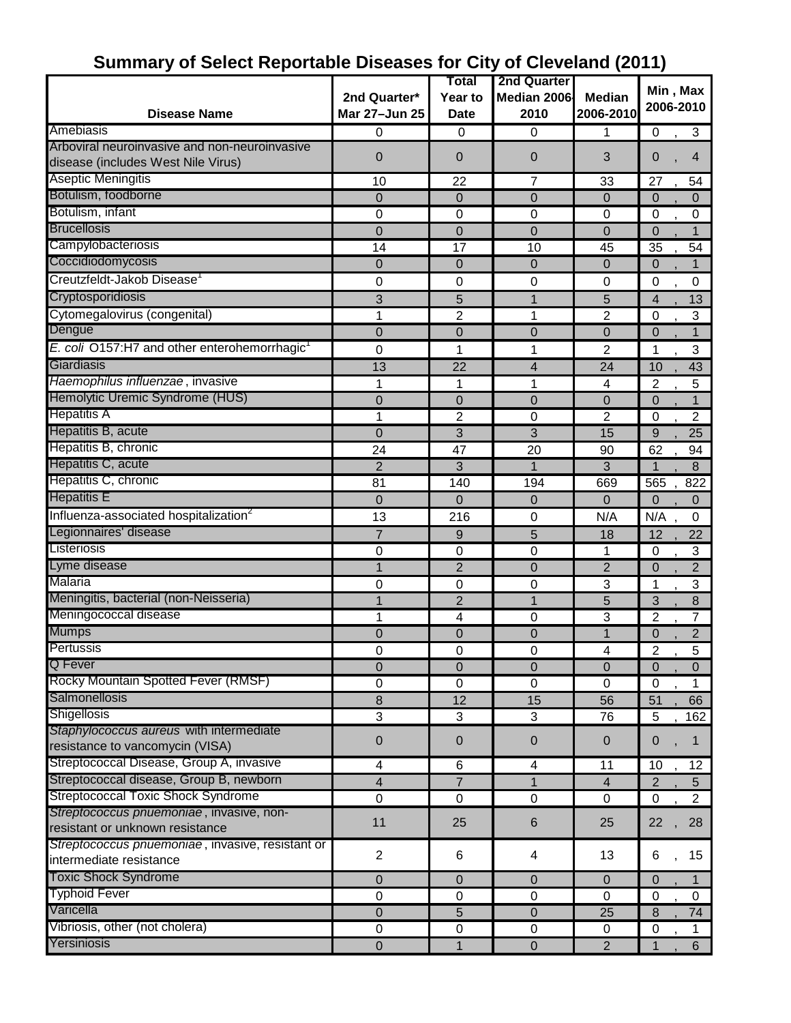|                                                                                     |                  | Total            | 2nd Quarter             |                | Min, Max                         |
|-------------------------------------------------------------------------------------|------------------|------------------|-------------------------|----------------|----------------------------------|
|                                                                                     | 2nd Quarter*     | Year to          | Median 2006             | <b>Median</b>  | 2006-2010                        |
| <b>Disease Name</b>                                                                 | Mar 27-Jun 25    | <b>Date</b>      | 2010                    | 2006-2010      |                                  |
| Amebiasis                                                                           | 0                | 0                | $\mathbf 0$             | 1              | 3<br>0                           |
| Arboviral neuroinvasive and non-neuroinvasive<br>disease (includes West Nile Virus) | $\overline{0}$   | 0                | $\Omega$                | 3              | $\overline{4}$<br>0              |
| <b>Aseptic Meningitis</b>                                                           | 10               | 22               | $\overline{7}$          | 33             | 27<br>54                         |
| Botulism, foodborne                                                                 | $\overline{0}$   | 0                | $\overline{0}$          | 0              | $\mathbf 0$<br>$\Omega$          |
| Botulism, infant                                                                    | 0                | 0                | $\mathbf 0$             | 0              | 0<br>0                           |
| <b>Brucellosis</b>                                                                  | $\overline{0}$   | $\overline{0}$   | $\Omega$                | $\overline{0}$ | $\overline{0}$                   |
| Campylobacteriosis                                                                  | 14               | 17               | 10                      | 45             | 35<br>54                         |
| Coccidiodomycosis                                                                   | 0                | $\mathbf 0$      | $\Omega$                | $\overline{0}$ | $\overline{0}$<br>1              |
| Creutzfeldt-Jakob Disease                                                           | 0                | $\mathbf 0$      | $\mathbf 0$             | 0              | 0<br>0                           |
| Cryptosporidiosis                                                                   | 3                | 5                | 1                       | 5              | $\overline{4}$<br>13             |
| Cytomegalovirus (congenital)                                                        | 1                | 2                | 1                       | $\overline{2}$ | $\mathbf 0$<br>3                 |
| Dengue                                                                              | $\mathbf 0$      | $\mathbf 0$      | $\mathbf 0$             | 0              | $\mathbf 0$                      |
| E. coli O157:H7 and other enterohemorrhagic <sup>1</sup>                            | 0                | 1                | 1                       | 2              | 3<br>1                           |
| Giardiasis                                                                          | 13               | 22               | $\overline{4}$          | 24             | 10<br>43                         |
| Haemophilus influenzae, invasive                                                    | 1                | 1                | 1                       | 4              | 5<br>$\overline{2}$              |
| Hemolytic Uremic Syndrome (HUS)                                                     | $\mathbf 0$      | $\overline{0}$   | $\Omega$                | $\overline{0}$ | $\mathbf 0$<br>$\mathbf{1}$      |
| <b>Hepatitis A</b>                                                                  | 1                | 2                | 0                       | $\overline{2}$ | $\overline{2}$<br>$\mathbf 0$    |
| Hepatitis B, acute                                                                  | $\overline{0}$   | 3                | 3                       | 15             | 9<br>25                          |
| Hepatitis B, chronic                                                                | 24               | 47               | 20                      | 90             | 62<br>94                         |
| Hepatitis C, acute                                                                  | $\overline{2}$   | 3                | 1                       | 3              | 1<br>8                           |
| Hepatitis C, chronic                                                                | 81               | 140              | 194                     | 669            | 822<br>565                       |
| <b>Hepatitis E</b>                                                                  | $\overline{0}$   | $\overline{0}$   | $\overline{0}$          | 0              | $\overline{0}$<br>$\mathbf{0}$   |
| Influenza-associated hospitalization <sup>2</sup>                                   | 13               | 216              | $\mathbf 0$             | N/A            | N/A<br>0                         |
| Legionnaires' disease                                                               | 7                | 9                | 5                       | 18             | 12<br>22                         |
| Listeriosis                                                                         | $\mathbf 0$      | $\mathbf 0$      | $\mathbf 0$             | 1              | 3<br>0                           |
| Lyme disease                                                                        | 1                | $\overline{2}$   | $\mathbf 0$             | $\overline{2}$ | $\overline{2}$<br>$\overline{0}$ |
| Malaria                                                                             | 0                | 0                | $\mathbf 0$             | 3              | 3<br>1                           |
| Meningitis, bacterial (non-Neisseria)                                               | 1                | $\overline{2}$   | 1                       | 5              | 3<br>8                           |
| Meningococcal disease                                                               | 1                | 4                | 0                       | 3              | $\overline{2}$<br>7              |
| <b>Mumps</b>                                                                        | 0                | $\overline{0}$   | 0                       |                | $\overline{2}$<br>$\overline{0}$ |
| Pertussis                                                                           | U                | $\boldsymbol{0}$ | U                       | 4              | $\overline{5}$<br>$\overline{c}$ |
| Q Fever                                                                             | 0                | $\mathbf 0$      | $\boldsymbol{0}$        | $\mathbf 0$    | $\overline{0}$<br>$\overline{0}$ |
| Rocky Mountain Spotted Fever (RMSF)                                                 | 0                | 0                | 0                       | 0              | 0<br>1                           |
| Salmonellosis                                                                       | 8                | 12               | 15                      | 56             | 66<br>51                         |
| Shigellosis                                                                         | 3                | $\sqrt{3}$       | 3                       | 76             | 5<br>162                         |
| Staphylococcus aureus with intermediate                                             |                  |                  |                         |                |                                  |
| resistance to vancomycin (VISA)                                                     | $\boldsymbol{0}$ | $\mathbf 0$      | $\boldsymbol{0}$        | $\mathbf 0$    | $\boldsymbol{0}$<br>1            |
| Streptococcal Disease, Group A, invasive                                            | 4                | 6                | $\overline{\mathbf{4}}$ | 11             | 10<br>12                         |
| Streptococcal disease, Group B, newborn                                             | 4                | $\overline{7}$   | $\mathbf{1}$            | $\overline{4}$ | $\overline{2}$<br>5 <sup>5</sup> |
| <b>Streptococcal Toxic Shock Syndrome</b>                                           | $\pmb{0}$        | $\mathbf 0$      | $\boldsymbol{0}$        | $\mathbf 0$    | $\mathbf 0$<br>$\overline{2}$    |
| Streptococcus pnuemoniae, invasive, non-                                            |                  |                  |                         |                |                                  |
| resistant or unknown resistance                                                     | 11               | 25               | $6\phantom{1}6$         | 25             | 22<br>28                         |
| Streptococcus pnuemoniae, invasive, resistant or                                    | $\overline{2}$   | 6                | 4                       | 13             | 15<br>6                          |
| intermediate resistance                                                             |                  |                  |                         |                |                                  |
| <b>Toxic Shock Syndrome</b>                                                         | 0                | $\overline{0}$   | $\overline{0}$          | $\mathbf 0$    | $\overline{0}$<br>1              |
| <b>Typhoid Fever</b>                                                                | $\mathbf 0$      | $\mathbf 0$      | $\overline{0}$          | $\Omega$       | $\mathbf 0$<br>0                 |
| Varicella                                                                           | $\mathbf 0$      | 5                | $\boldsymbol{0}$        | 25             | 74<br>8                          |
| Vibriosis, other (not cholera)                                                      | $\mathbf 0$      | $\pmb{0}$        | 0                       | 0              | $\boldsymbol{0}$<br>1            |
| Yersiniosis                                                                         | $\mathbf 0$      | 1                | $\mathbf 0$             | $\overline{2}$ | $6\phantom{a}$<br>1              |

# **Summary of Select Reportable Diseases for City of Cleveland (2011)**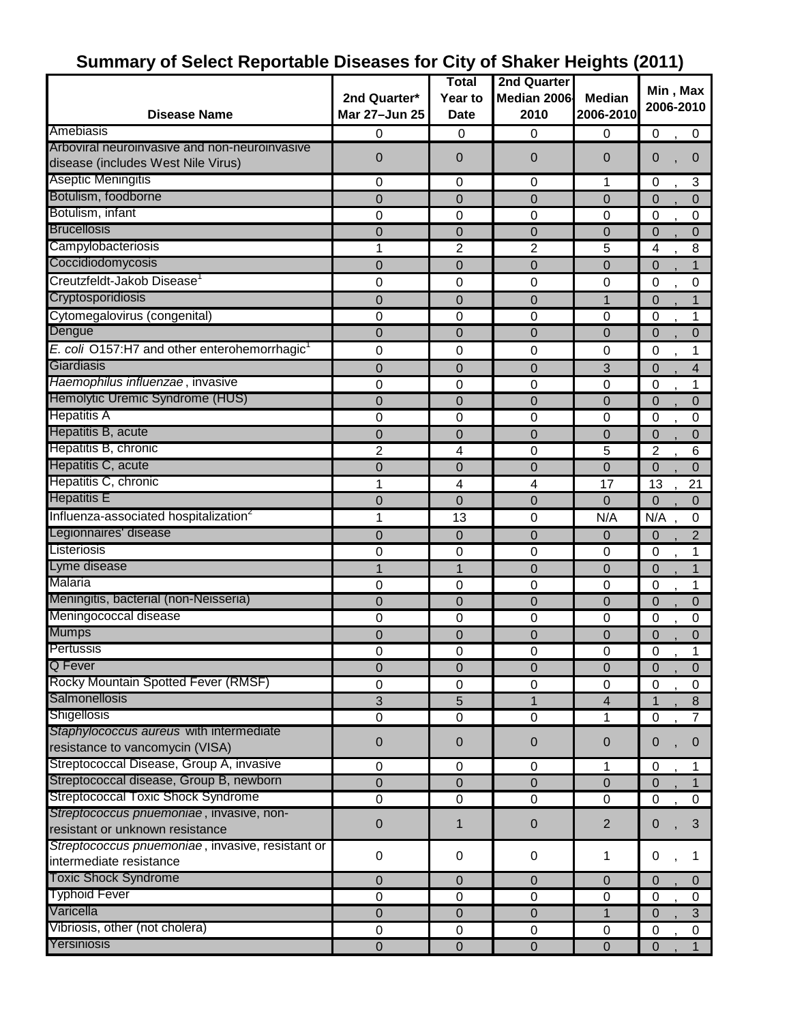|                                                          |                | <b>Total</b>     | 2nd Quarter      |                         |                | Min, Max       |
|----------------------------------------------------------|----------------|------------------|------------------|-------------------------|----------------|----------------|
|                                                          | 2nd Quarter*   | Year to          | Median 2006      | <b>Median</b>           |                | 2006-2010      |
| <b>Disease Name</b>                                      | Mar 27-Jun 25  | <b>Date</b>      | 2010             | 2006-2010               |                |                |
| Amebiasis                                                | 0              | $\mathbf 0$      | $\mathbf 0$      | 0                       | $\mathbf 0$    | $\pmb{0}$      |
| Arboviral neuroinvasive and non-neuroinvasive            | $\overline{0}$ | 0                | 0                | 0                       | $\Omega$       | $\mathbf 0$    |
| disease (includes West Nile Virus)                       |                |                  |                  |                         |                |                |
| <b>Aseptic Meningitis</b>                                | 0              | 0                | 0                | 1                       | $\mathbf 0$    | 3              |
| Botulism, foodborne                                      | $\mathbf 0$    | 0                | $\overline{0}$   | 0                       | $\Omega$       | $\overline{0}$ |
| Botulism, infant                                         | 0              | 0                | $\mathbf 0$      | $\mathbf 0$             | 0              | 0              |
| <b>Brucellosis</b>                                       | 0              | 0                | 0                | 0                       | $\Omega$       | 0              |
| Campylobacteriosis                                       |                | 2                | 2                | 5                       | 4              | 8              |
| Coccidiodomycosis                                        | 0              | 0                | $\overline{0}$   | 0                       | $\overline{0}$ | $\mathbf{1}$   |
| Creutzfeldt-Jakob Disease <sup>1</sup>                   | 0              | 0                | $\mathbf 0$      | 0                       | 0              | 0              |
| Cryptosporidiosis                                        | 0              | $\mathbf 0$      | $\overline{0}$   | 1                       | $\overline{0}$ | 1              |
| Cytomegalovirus (congenital)                             | 0              | 0                | $\boldsymbol{0}$ | $\pmb{0}$               | 0              | 1              |
| Dengue                                                   | 0              | 0                | 0                | 0                       | $\overline{0}$ | $\overline{0}$ |
| E. coli O157:H7 and other enterohemorrhagic <sup>1</sup> | 0              | $\mathbf 0$      | $\mathbf 0$      | $\mathbf 0$             | 0              | 1              |
| Giardiasis                                               | 0              | $\overline{0}$   | $\mathbf 0$      | 3                       | $\mathbf 0$    | 4              |
| Haemophilus influenzae, invasive                         | 0              | $\boldsymbol{0}$ | $\mathbf 0$      | $\mathbf 0$             | 0              | 1              |
| Hemolytic Uremic Syndrome (HUS)                          | 0              | $\mathbf 0$      | $\mathbf 0$      | 0                       | $\Omega$       | 0              |
| <b>Hepatitis A</b>                                       | 0              | 0                | $\mathbf 0$      | $\mathbf 0$             | 0              | 0              |
| Hepatitis B, acute                                       | 0              | 0                | 0                | 0                       | $\Omega$       | 0              |
| Hepatitis B, chronic                                     | 2              | 4                | $\mathbf 0$      | 5                       | $\overline{2}$ | 6              |
| Hepatitis C, acute                                       | $\overline{0}$ | 0                | $\Omega$         | $\overline{0}$          | $\Omega$       | $\Omega$       |
| Hepatitis C, chronic                                     | 1              | 4                | 4                | 17                      | 13             | 21             |
| <b>Hepatitis E</b>                                       | $\overline{0}$ | 0                | $\mathbf 0$      | $\overline{0}$          | $\Omega$       | $\Omega$       |
| Influenza-associated hospitalization <sup>2</sup>        | 1              | 13               | $\boldsymbol{0}$ | N/A                     | N/A            | 0              |
| Legionnaires' disease                                    | 0              | $\mathbf 0$      | $\mathbf 0$      | 0                       | $\overline{0}$ | $\overline{2}$ |
| Listeriosis                                              | 0              | 0                | $\pmb{0}$        | $\mathbf 0$             | 0              | 1              |
| Lyme disease                                             | $\mathbf{1}$   | $\mathbf{1}$     | $\Omega$         | 0                       | $\overline{0}$ | $\mathbf{1}$   |
| Malaria                                                  | 0              | $\mathbf 0$      | $\boldsymbol{0}$ | $\mathbf 0$             | $\mathbf 0$    | 1              |
| Meningitis, bacterial (non-Neisseria)                    | $\overline{0}$ | $\overline{0}$   | $\mathbf 0$      | 0                       | $\Omega$       | 0              |
| Meningococcal disease                                    | 0              | 0                | $\pmb{0}$        | $\mathbf 0$             | $\mathbf 0$    | 0              |
| Mumps                                                    | $\mathbf 0$    | $\mathbf 0$      | $\boldsymbol{0}$ | 0                       | $\Omega$       | 0              |
| ∎Pertussis                                               | 0              | 0                | 0                | 0                       | 0              | 1              |
| <b>Q</b> Fever                                           | $\overline{0}$ | $\mathbf 0$      | $\mathbf 0$      | 0                       | $\overline{0}$ | $\mathbf 0$    |
| Rocky Mountain Spotted Fever (RMSF)                      | 0              | 0                | $\pmb{0}$        | $\mathbf 0$             | $\mathbf 0$    | $\pmb{0}$      |
| Salmonellosis                                            | $\overline{3}$ | 5                | 1                | $\overline{\mathbf{4}}$ | 1              | 8              |
| Shigellosis                                              | 0              | $\boldsymbol{0}$ | $\mathbf 0$      | 1                       | $\mathbf 0$    | $\overline{7}$ |
| Staphylococcus aureus with intermediate                  |                |                  |                  |                         |                |                |
| resistance to vancomycin (VISA)                          | 0              | $\mathbf 0$      | $\mathbf 0$      | $\mathbf 0$             | $\Omega$       | 0              |
| Streptococcal Disease, Group A, invasive                 | 0              | 0                | $\mathbf 0$      | 1                       | $\mathbf 0$    | 1              |
| Streptococcal disease, Group B, newborn                  | 0              | $\Omega$         | $\boldsymbol{0}$ | 0                       | $\overline{0}$ | $\mathbf{1}$   |
| <b>Streptococcal Toxic Shock Syndrome</b>                | $\mathbf 0$    | $\boldsymbol{0}$ | $\pmb{0}$        | 0                       | $\mathbf 0$    | $\mathbf 0$    |
| Streptococcus pnuemoniae, invasive, non-                 |                |                  |                  |                         |                |                |
| resistant or unknown resistance                          | 0              | 1                | $\boldsymbol{0}$ | $\overline{2}$          | $\mathbf 0$    | 3              |
| Streptococcus pnuemoniae, invasive, resistant or         |                |                  |                  |                         |                |                |
| intermediate resistance                                  | 0              | $\boldsymbol{0}$ | 0                | 1                       | 0              | 1              |
| <b>Toxic Shock Syndrome</b>                              | 0              | $\mathbf 0$      | $\mathbf 0$      | $\mathbf 0$             | $\Omega$       | $\mathbf{0}$   |
| <b>Typhoid Fever</b>                                     | $\pmb{0}$      | $\mathbf 0$      | $\pmb{0}$        | $\pmb{0}$               | 0              | $\mathbf 0$    |
| Varicella                                                | 0              | $\boldsymbol{0}$ | $\mathbf 0$      | $\mathbf{1}$            | $\Omega$       | $\mathfrak{S}$ |
| Vibriosis, other (not cholera)                           | $\pmb{0}$      | $\boldsymbol{0}$ | $\mathbf 0$      | $\pmb{0}$               | $\mathbf 0$    | $\mathbf 0$    |
| Yersiniosis                                              | $\mathbf 0$    | $\mathbf 0$      | $\pmb{0}$        | $\mathbf 0$             | $\Omega$       | 1              |

## **Summary of Select Reportable Diseases for City of Shaker Heights (2011)**